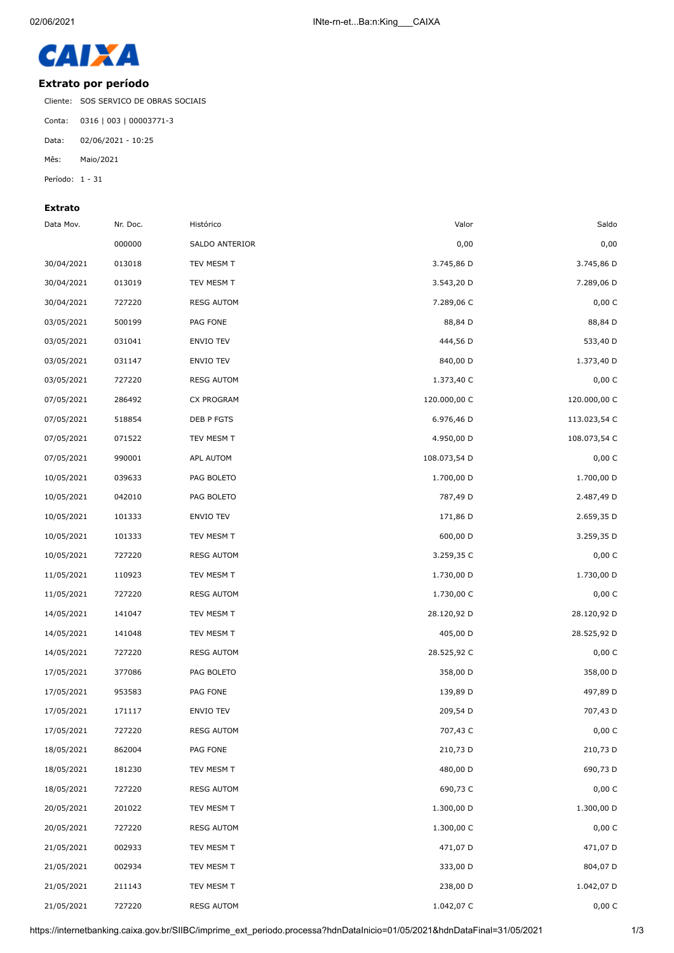

## **Extrato por período**

Cliente: SOS SERVICO DE OBRAS SOCIAIS

Conta: 0316 | 003 | 00003771-3

Data: 02/06/2021 - 10:25

Mês: Maio/2021

Período: 1 - 31

## **Extrato**

| Saldo        | Valor        | Histórico         | Nr. Doc. | Data Mov.  |
|--------------|--------------|-------------------|----------|------------|
| 0,00         | 0,00         | SALDO ANTERIOR    | 000000   |            |
| 3.745,86 D   | 3.745,86 D   | TEV MESM T        | 013018   | 30/04/2021 |
| 7.289,06 D   | 3.543,20 D   | TEV MESM T        | 013019   | 30/04/2021 |
| 0,00 C       | 7.289,06 C   | <b>RESG AUTOM</b> | 727220   | 30/04/2021 |
| 88,84 D      | 88,84 D      | PAG FONE          | 500199   | 03/05/2021 |
| 533,40 D     | 444,56 D     | ENVIO TEV         | 031041   | 03/05/2021 |
| 1.373,40 D   | 840,00 D     | ENVIO TEV         | 031147   | 03/05/2021 |
| 0,00 C       | 1.373,40 C   | <b>RESG AUTOM</b> | 727220   | 03/05/2021 |
| 120.000,00 C | 120.000,00 C | CX PROGRAM        | 286492   | 07/05/2021 |
| 113.023,54 C | 6.976,46 D   | DEB P FGTS        | 518854   | 07/05/2021 |
| 108.073,54 C | 4.950,00 D   | TEV MESM T        | 071522   | 07/05/2021 |
| 0,00 C       | 108.073,54 D | APL AUTOM         | 990001   | 07/05/2021 |
| 1.700,00 D   | 1.700,00 D   | PAG BOLETO        | 039633   | 10/05/2021 |
| 2.487,49 D   | 787,49 D     | PAG BOLETO        | 042010   | 10/05/2021 |
| 2.659,35 D   | 171,86 D     | ENVIO TEV         | 101333   | 10/05/2021 |
| 3.259,35 D   | 600,00 D     | TEV MESM T        | 101333   | 10/05/2021 |
| 0,00 C       | 3.259,35 C   | <b>RESG AUTOM</b> | 727220   | 10/05/2021 |
| 1.730,00 D   | 1.730,00 D   | TEV MESM T        | 110923   | 11/05/2021 |
| 0,00 C       | 1.730,00 C   | <b>RESG AUTOM</b> | 727220   | 11/05/2021 |
| 28.120,92 D  | 28.120,92 D  | TEV MESM T        | 141047   | 14/05/2021 |
| 28.525,92 D  | 405,00 D     | TEV MESM T        | 141048   | 14/05/2021 |
| 0,00 C       | 28.525,92 C  | <b>RESG AUTOM</b> | 727220   | 14/05/2021 |
| 358,00 D     | 358,00 D     | PAG BOLETO        | 377086   | 17/05/2021 |
| 497,89 D     | 139,89 D     | PAG FONE          | 953583   | 17/05/2021 |
| 707,43 D     | 209,54 D     | <b>ENVIO TEV</b>  | 171117   | 17/05/2021 |
| 0,00 C       | 707,43 C     | <b>RESG AUTOM</b> | 727220   | 17/05/2021 |
| 210,73 D     | 210,73 D     | PAG FONE          | 862004   | 18/05/2021 |
| 690,73 D     | 480,00 D     | TEV MESM T        | 181230   | 18/05/2021 |
| 0,00 C       | 690,73 C     | <b>RESG AUTOM</b> | 727220   | 18/05/2021 |
| 1.300,00 D   | 1.300,00 D   | TEV MESM T        | 201022   | 20/05/2021 |
| 0,00 C       | 1.300,00 C   | <b>RESG AUTOM</b> | 727220   | 20/05/2021 |
| 471,07 D     | 471,07 D     | TEV MESM T        | 002933   | 21/05/2021 |
| 804,07 D     | 333,00 D     | TEV MESM T        | 002934   | 21/05/2021 |
| 1.042,07 D   | 238,00 D     | TEV MESM T        | 211143   | 21/05/2021 |
| 0,00 C       | 1.042,07 C   | <b>RESG AUTOM</b> | 727220   | 21/05/2021 |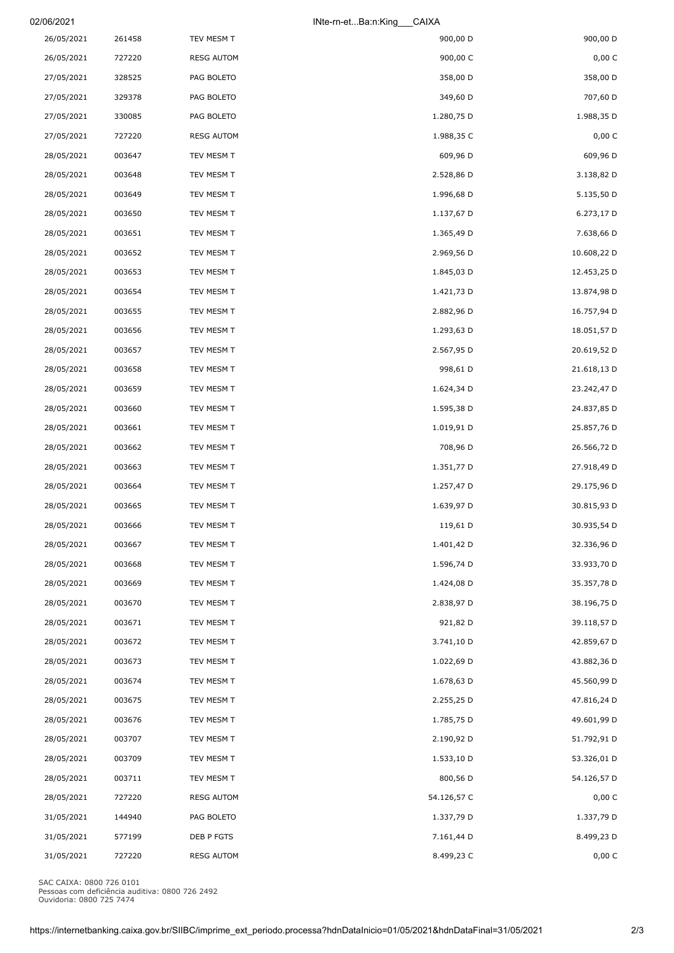| 02/06/2021<br>INte-rn-etBa:n:King<br>CAIXA |        |                   |             |             |
|--------------------------------------------|--------|-------------------|-------------|-------------|
| 26/05/2021                                 | 261458 | TEV MESM T        | 900,00 D    | 900,00 D    |
| 26/05/2021                                 | 727220 | <b>RESG AUTOM</b> | 900,00 C    | 0,00 C      |
| 27/05/2021                                 | 328525 | PAG BOLETO        | 358,00 D    | 358,00 D    |
| 27/05/2021                                 | 329378 | PAG BOLETO        | 349,60 D    | 707,60 D    |
| 27/05/2021                                 | 330085 | PAG BOLETO        | 1.280,75 D  | 1.988,35 D  |
| 27/05/2021                                 | 727220 | <b>RESG AUTOM</b> | 1.988,35 C  | 0,00 C      |
| 28/05/2021                                 | 003647 | TEV MESM T        | 609,96 D    | 609,96 D    |
| 28/05/2021                                 | 003648 | TEV MESM T        | 2.528,86 D  | 3.138,82 D  |
| 28/05/2021                                 | 003649 | TEV MESM T        | 1.996,68 D  | 5.135,50 D  |
| 28/05/2021                                 | 003650 | TEV MESM T        | 1.137,67 D  | 6.273,17 D  |
| 28/05/2021                                 | 003651 | TEV MESM T        | 1.365,49 D  | 7.638,66 D  |
| 28/05/2021                                 | 003652 | TEV MESM T        | 2.969,56 D  | 10.608,22 D |
| 28/05/2021                                 | 003653 | TEV MESM T        | 1.845,03 D  | 12.453,25 D |
| 28/05/2021                                 | 003654 | TEV MESM T        | 1.421,73 D  | 13.874,98 D |
| 28/05/2021                                 | 003655 | TEV MESM T        | 2.882,96 D  | 16.757,94 D |
| 28/05/2021                                 | 003656 | TEV MESM T        | 1.293,63 D  | 18.051,57 D |
| 28/05/2021                                 | 003657 | TEV MESM T        | 2.567,95 D  | 20.619,52 D |
| 28/05/2021                                 | 003658 | TEV MESM T        | 998,61 D    | 21.618,13 D |
| 28/05/2021                                 | 003659 | TEV MESM T        | 1.624,34 D  | 23.242,47 D |
| 28/05/2021                                 | 003660 | TEV MESM T        | 1.595,38 D  | 24.837,85 D |
| 28/05/2021                                 | 003661 | TEV MESM T        | 1.019,91 D  | 25.857,76 D |
| 28/05/2021                                 | 003662 | TEV MESM T        | 708,96 D    | 26.566,72 D |
| 28/05/2021                                 | 003663 | TEV MESM T        | 1.351,77 D  | 27.918,49 D |
| 28/05/2021                                 | 003664 | TEV MESM T        | 1.257,47 D  | 29.175,96 D |
| 28/05/2021                                 | 003665 | TEV MESM T        | 1.639,97 D  | 30.815,93 D |
| 28/05/2021                                 | 003666 | TEV MESM T        | 119,61 D    | 30.935,54 D |
| 28/05/2021                                 | 003667 | TEV MESM T        | 1.401,42 D  | 32.336,96 D |
| 28/05/2021                                 | 003668 | TEV MESM T        | 1.596,74 D  | 33.933,70 D |
| 28/05/2021                                 | 003669 | TEV MESM T        | 1.424,08 D  | 35.357,78 D |
| 28/05/2021                                 | 003670 | TEV MESM T        | 2.838,97 D  | 38.196,75 D |
| 28/05/2021                                 | 003671 | TEV MESM T        | 921,82 D    | 39.118,57 D |
| 28/05/2021                                 | 003672 | TEV MESM T        | 3.741,10 D  | 42.859,67 D |
| 28/05/2021                                 | 003673 | TEV MESM T        | 1.022,69 D  | 43.882,36 D |
| 28/05/2021                                 | 003674 | TEV MESM T        | 1.678,63 D  | 45.560,99 D |
| 28/05/2021                                 | 003675 | TEV MESM T        | 2.255,25 D  | 47.816,24 D |
| 28/05/2021                                 | 003676 | TEV MESM T        | 1.785,75 D  | 49.601,99 D |
| 28/05/2021                                 | 003707 | TEV MESM T        | 2.190,92 D  | 51.792,91 D |
| 28/05/2021                                 | 003709 | TEV MESM T        | 1.533,10 D  | 53.326,01 D |
| 28/05/2021                                 | 003711 | TEV MESM T        | 800,56 D    | 54.126,57 D |
| 28/05/2021                                 | 727220 | <b>RESG AUTOM</b> | 54.126,57 C | 0,00 C      |
| 31/05/2021                                 | 144940 | PAG BOLETO        | 1.337,79 D  | 1.337,79 D  |
| 31/05/2021                                 | 577199 | DEB P FGTS        | 7.161,44 D  | 8.499,23 D  |
| 31/05/2021                                 | 727220 | <b>RESG AUTOM</b> | 8.499,23 C  | $0,00\ C$   |

SAC CAIXA: 0800 726 0101 Pessoas com deficiência auditiva: 0800 726 2492 Ouvidoria: 0800 725 7474